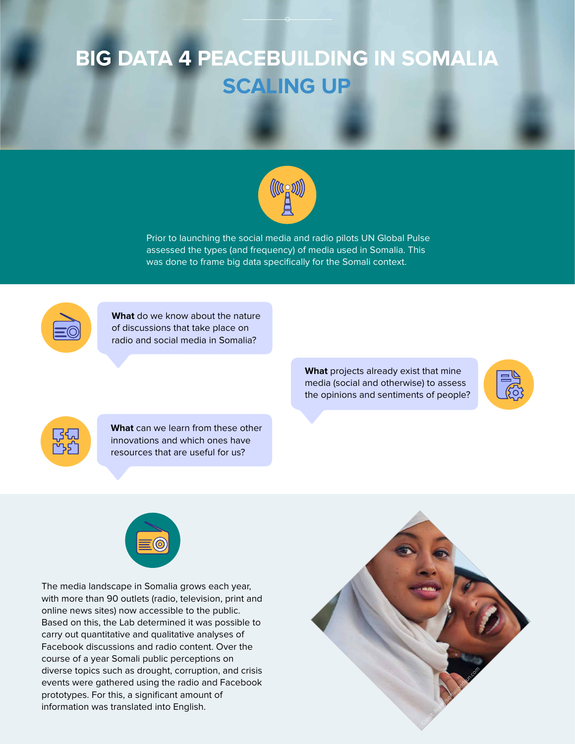## **BIG DATA 4 PEACEBUILDING IN SOMALIA SCALING UP**



**What** do we know about the nature of discussions that take place on radio and social media in Somalia?

> **What** projects already exist that mine media (social and otherwise) to assess the opinions and sentiments of people?





**What** can we learn from these other innovations and which ones have resources that are useful for us?



The media landscape in Somalia grows each year, with more than 90 outlets (radio, television, print and online news sites) now accessible to the public. Based on this, the Lab determined it was possible to carry out quantitative and qualitative analyses of Facebook discussions and radio content. Over the course of a year Somali public perceptions on diverse topics such as drought, corruption, and crisis events were gathered using the radio and Facebook prototypes. For this, a significant amount of information was translated into English.

Prior to launching the social media and radio pilots UN Global Pulse assessed the types (and frequency) of media used in Somalia. This was done to frame big data specifically for the Somali context.